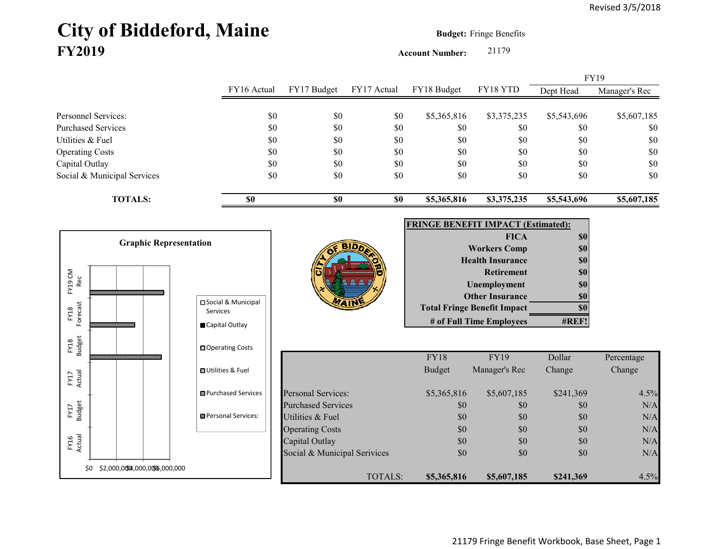# City of Biddeford, Maine **Budget:** Fringe Benefits **FY2019**

**Account Number:** 21179

|             |             |             | <b>FY19</b>   |
|-------------|-------------|-------------|---------------|
| FY18 Budget | FY18 YTD    | Dept Head   | Manager's Rec |
|             |             |             |               |
| \$5,365,816 | \$3,375,235 | \$5,543,696 | \$5,607,185   |
| \$0         | \$0         | \$0         | \$0           |
| \$0         | \$0         | \$0         | \$0           |
| \$0         | \$0         | \$0         | \$0           |
| \$0         | \$0         | \$0         | \$0           |
| \$0         | \$0         | \$0         | \$0           |
| \$5,365,816 | \$3,375,235 | \$5,543,696 | \$5,607,185   |
|             |             |             |               |



21179 Fringe Benefit Workbook, Base Sheet, Page 1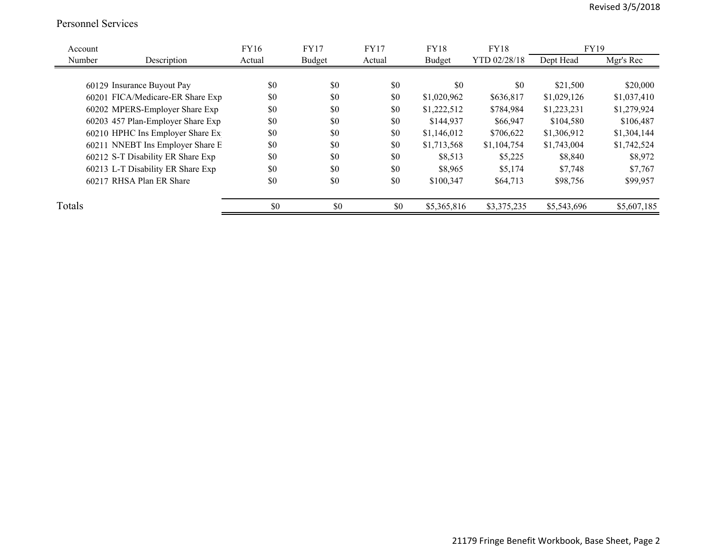#### Personnel Services

| Account |                                   | FY16   | <b>FY17</b> | <b>FY17</b> | <b>FY18</b> | FY18         | <b>FY19</b> |             |
|---------|-----------------------------------|--------|-------------|-------------|-------------|--------------|-------------|-------------|
| Number  | Description                       | Actual | Budget      | Actual      | Budget      | YTD 02/28/18 | Dept Head   | Mgr's Rec   |
|         |                                   |        |             |             |             |              |             |             |
|         | 60129 Insurance Buyout Pay        | \$0    | \$0         | \$0         | \$0         | \$0          | \$21,500    | \$20,000    |
|         | 60201 FICA/Medicare-ER Share Exp  | \$0    | \$0         | \$0         | \$1,020,962 | \$636,817    | \$1,029,126 | \$1,037,410 |
|         | 60202 MPERS-Employer Share Exp    | \$0    | \$0         | \$0         | \$1,222,512 | \$784,984    | \$1,223,231 | \$1,279,924 |
|         | 60203 457 Plan-Employer Share Exp | \$0    | \$0         | \$0         | \$144,937   | \$66,947     | \$104,580   | \$106,487   |
|         | 60210 HPHC Ins Employer Share Ex  | \$0    | \$0         | \$0         | \$1,146,012 | \$706,622    | \$1,306,912 | \$1,304,144 |
|         | 60211 NNEBT Ins Employer Share E  | \$0    | \$0         | \$0         | \$1,713,568 | \$1,104,754  | \$1,743,004 | \$1,742,524 |
|         | 60212 S-T Disability ER Share Exp | \$0    | \$0         | \$0         | \$8,513     | \$5,225      | \$8,840     | \$8,972     |
|         | 60213 L-T Disability ER Share Exp | \$0    | \$0         | \$0         | \$8,965     | \$5,174      | \$7,748     | \$7,767     |
|         | 60217 RHSA Plan ER Share          | \$0    | \$0         | \$0         | \$100,347   | \$64,713     | \$98,756    | \$99,957    |
| Totals  |                                   | \$0    | \$0         | \$0         | \$5,365,816 | \$3,375,235  | \$5,543,696 | \$5,607,185 |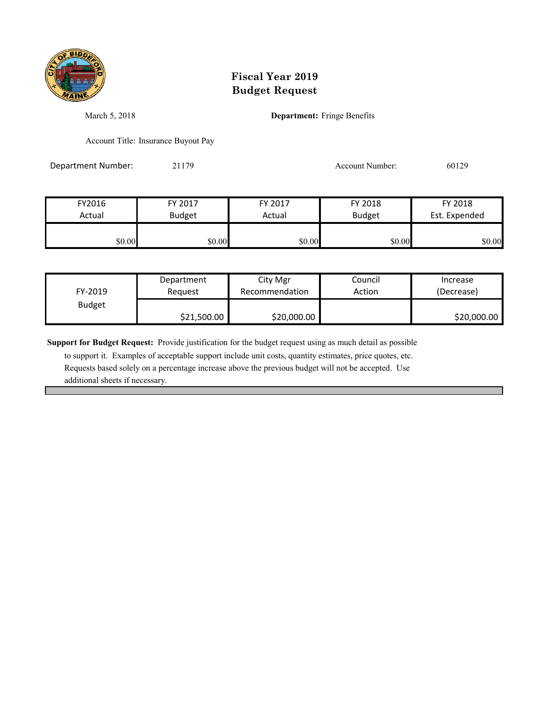

March 5, 2018 **Department:** Fringe Benefits

Account Title: Insurance Buyout Pay

Department Number: 21179 20129 Account Number: 60129

| FY2016 | FY 2017       | FY 2017 | FY 2018       | FY 2018       |
|--------|---------------|---------|---------------|---------------|
| Actual | <b>Budget</b> | Actual  | <b>Budget</b> | Est. Expended |
| \$0.00 | \$0.00        | \$0.00  | \$0.00        | \$0.00        |

| FY-2019       | Department  | City Mgr       | Council | Increase    |
|---------------|-------------|----------------|---------|-------------|
|               | Reauest     | Recommendation | Action  | (Decrease)  |
| <b>Budget</b> | \$21,500.00 | \$20,000.00    |         | \$20,000.00 |

**Support for Budget Request:** Provide justification for the budget request using as much detail as possible

 to support it. Examples of acceptable support include unit costs, quantity estimates, price quotes, etc. Requests based solely on a percentage increase above the previous budget will not be accepted. Use additional sheets if necessary.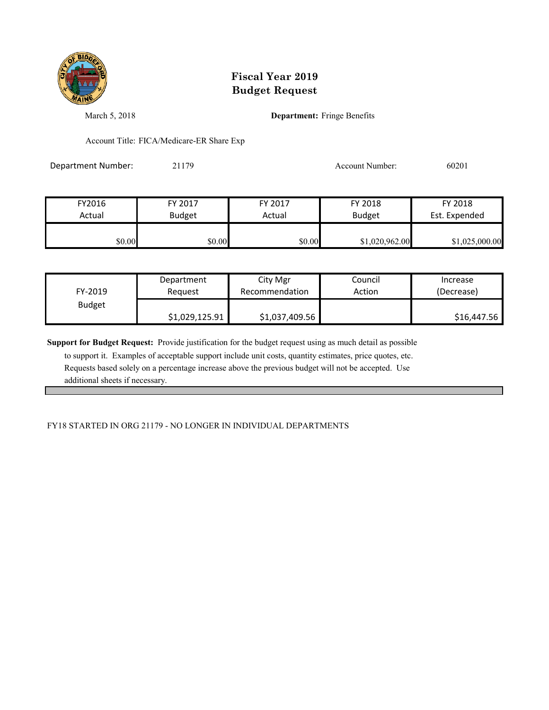

March 5, 2018 **Department:** Fringe Benefits

Account Title: FICA/Medicare-ER Share Exp

Department Number: 21179 21179 Account Number: 60201

| FY2016 | FY 2017       | FY 2017 | FY 2018        | FY 2018        |
|--------|---------------|---------|----------------|----------------|
| Actual | <b>Budget</b> | Actual  | <b>Budget</b>  | Est. Expended  |
| \$0.00 | \$0.00        | \$0.00  | \$1,020,962.00 | \$1,025,000.00 |

| FY-2019       | Department     | City Mgr       | Council | Increase    |
|---------------|----------------|----------------|---------|-------------|
|               | Reauest        | Recommendation | Action  | (Decrease)  |
| <b>Budget</b> | \$1,029,125.91 | \$1,037,409.56 |         | \$16,447.56 |

**Support for Budget Request:** Provide justification for the budget request using as much detail as possible

 to support it. Examples of acceptable support include unit costs, quantity estimates, price quotes, etc. Requests based solely on a percentage increase above the previous budget will not be accepted. Use additional sheets if necessary.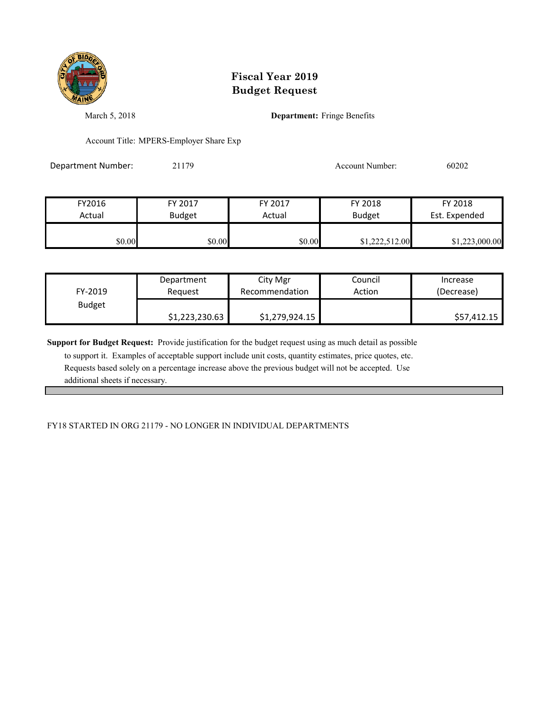

March 5, 2018 **Department:** Fringe Benefits

Account Title: MPERS-Employer Share Exp

Department Number: 21179 Account Number: 60202

FY2016 FY 2017 FY 2017 FY 2018 FY 2018 Actual Budget | Actual Budget Est. Expended \$0.00 \$0.00 \$0.00 \$0.00 \$1,222,512.00 \$1,223,000.00

|                          | Department     | City Mgr       | Council | Increase    |
|--------------------------|----------------|----------------|---------|-------------|
| FY-2019<br><b>Budget</b> | Reauest        | Recommendation | Action  | (Decrease)  |
|                          | \$1,223,230.63 | \$1,279,924.15 |         | \$57,412.15 |

**Support for Budget Request:** Provide justification for the budget request using as much detail as possible

 to support it. Examples of acceptable support include unit costs, quantity estimates, price quotes, etc. Requests based solely on a percentage increase above the previous budget will not be accepted. Use additional sheets if necessary.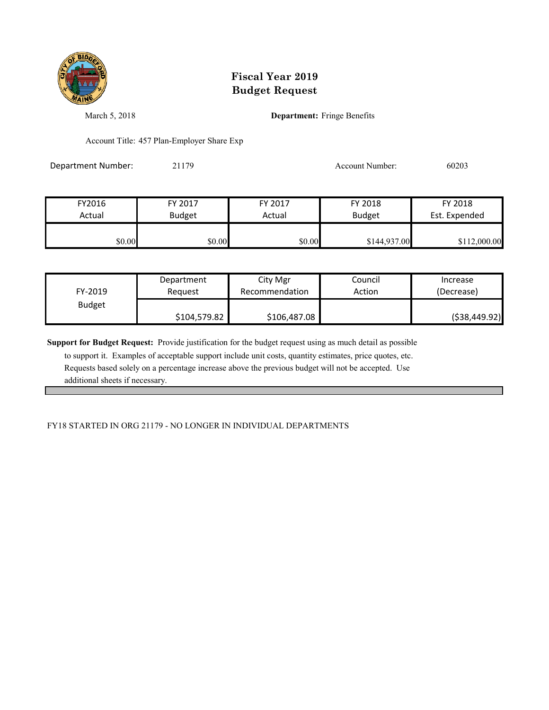

March 5, 2018 **Department:** Fringe Benefits

Account Title: 457 Plan-Employer Share Exp

Department Number: 21179 21179 Account Number: 60203

| FY2016 | FY 2017       | FY 2017 | FY 2018       | FY 2018       |
|--------|---------------|---------|---------------|---------------|
| Actual | <b>Budget</b> | Actual  | <b>Budget</b> | Est. Expended |
|        |               |         |               |               |
| \$0.00 | \$0.00        | \$0.00  | \$144,937.00  | \$112,000.00  |

| FY-2019       | Department   | City Mgr       | Council | Increase       |
|---------------|--------------|----------------|---------|----------------|
|               | Reauest      | Recommendation | Action  | (Decrease)     |
| <b>Budget</b> | \$104,579.82 | \$106,487.08   |         | ( \$38,449.92) |

**Support for Budget Request:** Provide justification for the budget request using as much detail as possible

 to support it. Examples of acceptable support include unit costs, quantity estimates, price quotes, etc. Requests based solely on a percentage increase above the previous budget will not be accepted. Use additional sheets if necessary.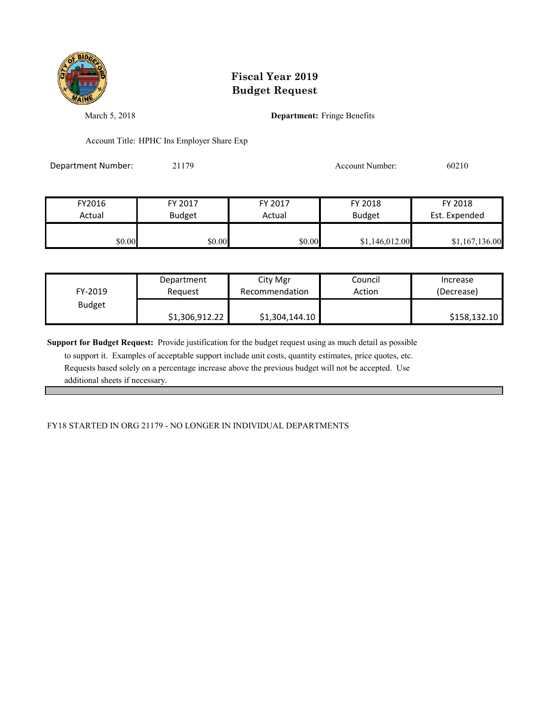

March 5, 2018 **Department:** Fringe Benefits

Account Title: HPHC Ins Employer Share Exp

Department Number: 21179 20210 20210

| FY2016 | FY 2017       | FY 2017 | FY 2018        | FY 2018        |
|--------|---------------|---------|----------------|----------------|
| Actual | <b>Budget</b> | Actual  | <b>Budget</b>  | Est. Expended  |
| \$0.00 | \$0.00        | \$0.00  | \$1,146,012.00 | \$1,167,136.00 |

| FY-2019       | Department     | City Mgr       | Council | Increase     |
|---------------|----------------|----------------|---------|--------------|
|               | Reauest        | Recommendation | Action  | (Decrease)   |
| <b>Budget</b> | \$1,306,912.22 | \$1,304,144.10 |         | \$158,132.10 |

**Support for Budget Request:** Provide justification for the budget request using as much detail as possible

 to support it. Examples of acceptable support include unit costs, quantity estimates, price quotes, etc. Requests based solely on a percentage increase above the previous budget will not be accepted. Use additional sheets if necessary.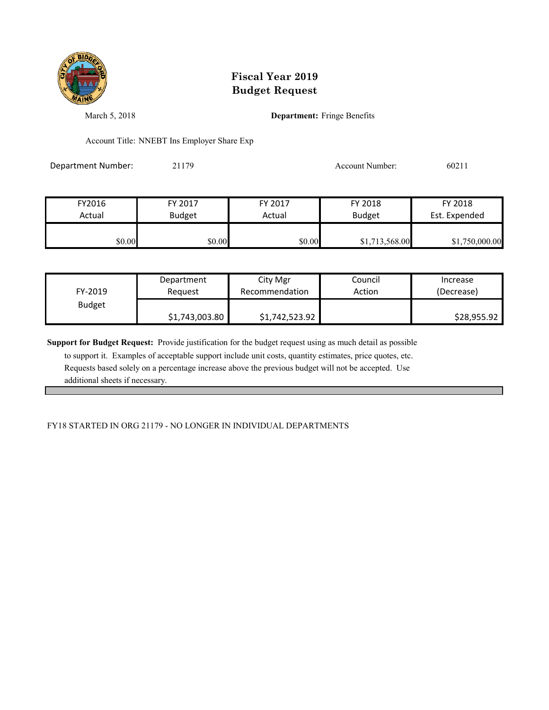

March 5, 2018 **Department:** Fringe Benefits

Account Title: NNEBT Ins Employer Share Exp

Department Number: 21179 21179 Account Number: 60211

| FY2016 | FY 2017       | FY 2017 | FY 2018        | FY 2018        |
|--------|---------------|---------|----------------|----------------|
| Actual | <b>Budget</b> | Actual  | <b>Budget</b>  | Est. Expended  |
| \$0.00 | $\$0.00$      | \$0.00  | \$1,713,568.00 | \$1,750,000.00 |

| FY-2019       | Department     | City Mgr       | Council | Increase    |
|---------------|----------------|----------------|---------|-------------|
|               | Reauest        | Recommendation | Action  | (Decrease)  |
| <b>Budget</b> | \$1,743,003.80 | \$1,742,523.92 |         | \$28,955.92 |

**Support for Budget Request:** Provide justification for the budget request using as much detail as possible

 to support it. Examples of acceptable support include unit costs, quantity estimates, price quotes, etc. Requests based solely on a percentage increase above the previous budget will not be accepted. Use additional sheets if necessary.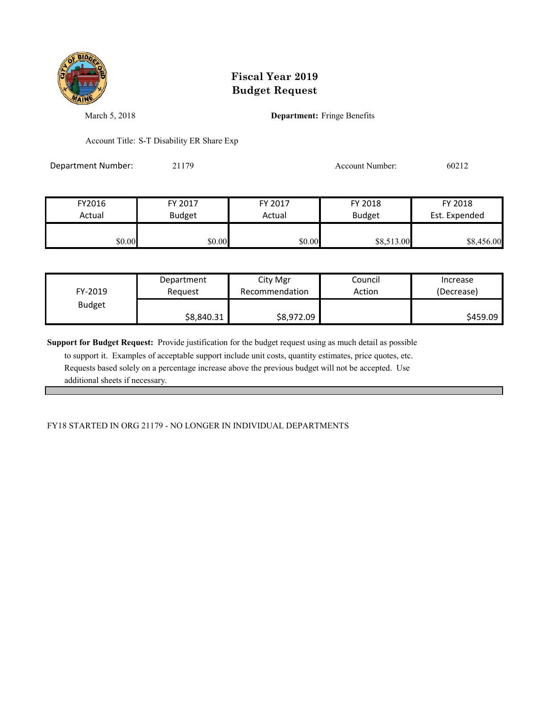

March 5, 2018 **Department:** Fringe Benefits

Account Title: S-T Disability ER Share Exp

Department Number: 21179 21179 Account Number: 60212

| FY2016<br>Actual | FY 2017<br><b>Budget</b> | FY 2017<br>Actual | FY 2018<br><b>Budget</b> | FY 2018<br>Est. Expended |
|------------------|--------------------------|-------------------|--------------------------|--------------------------|
|                  |                          |                   |                          |                          |
| \$0.00           | \$0.00                   | \$0.00            | \$8,513.00               | \$8,456.00               |

| FY-2019       | Department | City Mgr       | Council | Increase   |
|---------------|------------|----------------|---------|------------|
|               | Reauest    | Recommendation | Action  | (Decrease) |
| <b>Budget</b> | \$8,840.31 | \$8,972.09     |         | \$459.09   |

**Support for Budget Request:** Provide justification for the budget request using as much detail as possible

 to support it. Examples of acceptable support include unit costs, quantity estimates, price quotes, etc. Requests based solely on a percentage increase above the previous budget will not be accepted. Use additional sheets if necessary.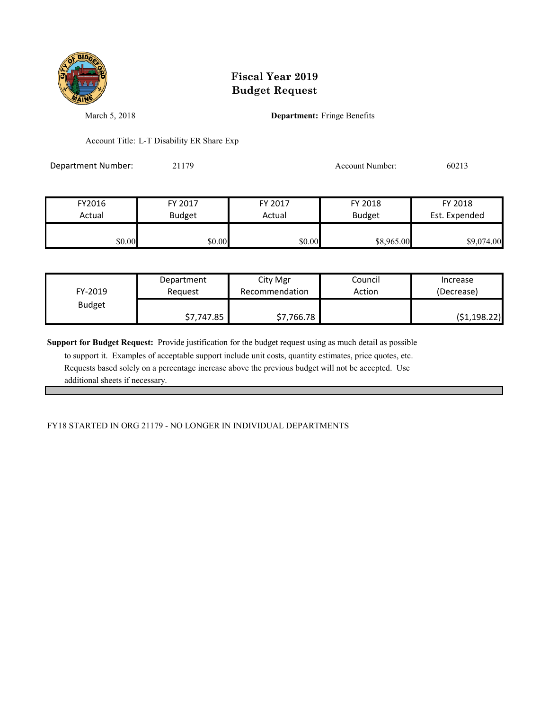

March 5, 2018 **Department:** Fringe Benefits

Account Title: L-T Disability ER Share Exp

Department Number: 21179 20213

| FY2016 | FY 2017       | FY 2017 | FY 2018       | FY 2018       |
|--------|---------------|---------|---------------|---------------|
| Actual | <b>Budget</b> | Actual  | <b>Budget</b> | Est. Expended |
| \$0.00 | \$0.00        | \$0.00  | \$8,965.00    | \$9,074.00    |

| FY-2019       | Department | City Mgr       | Council | Increase      |
|---------------|------------|----------------|---------|---------------|
|               | Reauest    | Recommendation | Action  | (Decrease)    |
| <b>Budget</b> | \$7,747.85 | \$7,766.78     |         | ( \$1,198.22) |

**Support for Budget Request:** Provide justification for the budget request using as much detail as possible

 to support it. Examples of acceptable support include unit costs, quantity estimates, price quotes, etc. Requests based solely on a percentage increase above the previous budget will not be accepted. Use additional sheets if necessary.